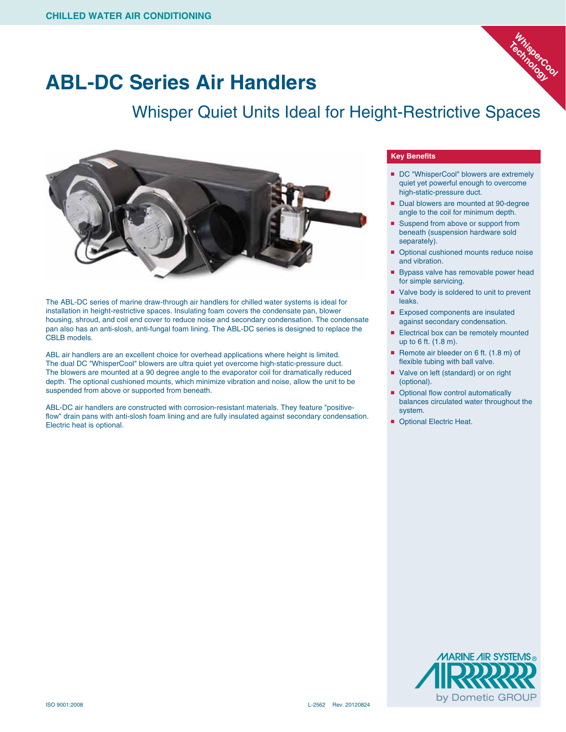

## **ABL-DC Series Air Handlers**

## Whisper Quiet Units Ideal for Height-Restrictive Spaces



The ABL-DC series of marine draw-through air handlers for chilled water systems is ideal for installation in height-restrictive spaces. Insulating foam covers the condensate pan, blower housing, shroud, and coil end cover to reduce noise and secondary condensation. The condensate pan also has an anti-slosh, anti-fungal foam lining. The ABL-DC series is designed to replace the CBLB models.

ABL air handlers are an excellent choice for overhead applications where height is limited. The dual DC "WhisperCool" blowers are ultra quiet yet overcome high-static-pressure duct. The blowers are mounted at a 90 degree angle to the evaporator coil for dramatically reduced depth. The optional cushioned mounts, which minimize vibration and noise, allow the unit to be suspended from above or supported from beneath.

ABL-DC air handlers are constructed with corrosion-resistant materials. They feature "positiveflow" drain pans with anti-slosh foam lining and are fully insulated against secondary condensation. Electric heat is optional.

## **Key Benefits**

- DC "WhisperCool" blowers are extremely quiet yet powerful enough to overcome high-static-pressure duct.
- Dual blowers are mounted at 90-degree angle to the coil for minimum depth.
- Suspend from above or support from beneath (suspension hardware sold separately).
- Optional cushioned mounts reduce noise and vibration.
- Bypass valve has removable power head for simple servicing.
- Valve body is soldered to unit to prevent leaks.
- Exposed components are insulated against secondary condensation.
- Electrical box can be remotely mounted up to 6 ft. (1.8 m).
- Remote air bleeder on 6 ft. (1.8 m) of flexible tubing with ball valve.
- Valve on left (standard) or on right (optional).
- Optional flow control automatically balances circulated water throughout the system.
- Optional Electric Heat.